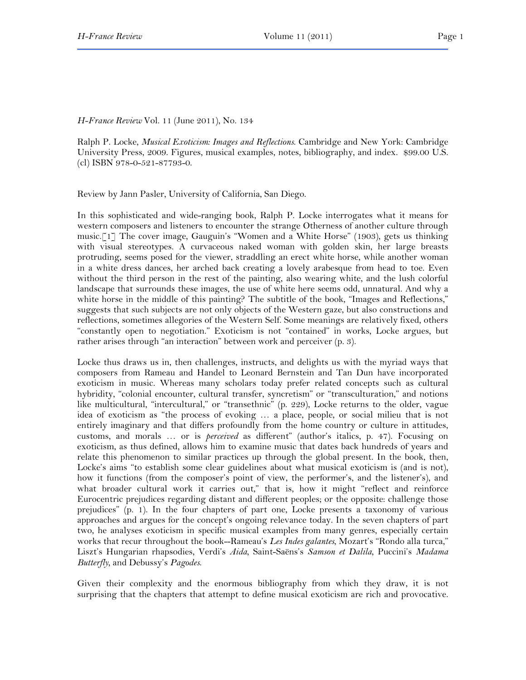*H-France Review* Vol. 11 (June 2011), No. 134

Ralph P. Locke, *Musical Exoticism: Images and Reflections*. Cambridge and New York: Cambridge University Press, 2009. Figures, musical examples, notes, bibliography, and index. \$99.00 U.S. (cl) ISBN 978-0-521-87793-0.

Review by Jann Pasler, University of California, San Diego.

In this sophisticated and wide-ranging book, Ralph P. Locke interrogates what it means for western composers and listeners to encounter the strange Otherness of another culture through music.[1] The cover image, Gauguin's "Women and a White Horse" (1903), gets us thinking with visual stereotypes. A curvaceous naked woman with golden skin, her large breasts protruding, seems posed for the viewer, straddling an erect white horse, while another woman in a white dress dances, her arched back creating a lovely arabesque from head to toe. Even without the third person in the rest of the painting, also wearing white, and the lush colorful landscape that surrounds these images, the use of white here seems odd, unnatural. And why a white horse in the middle of this painting? The subtitle of the book, "Images and Reflections," suggests that such subjects are not only objects of the Western gaze, but also constructions and reflections, sometimes allegories of the Western Self. Some meanings are relatively fixed, others "constantly open to negotiation." Exoticism is not "contained" in works, Locke argues, but rather arises through "an interaction" between work and perceiver (p. 3).

Locke thus draws us in, then challenges, instructs, and delights us with the myriad ways that composers from Rameau and Handel to Leonard Bernstein and Tan Dun have incorporated exoticism in music. Whereas many scholars today prefer related concepts such as cultural hybridity, "colonial encounter, cultural transfer, syncretism" or "transculturation," and notions like multicultural, "intercultural," or "transethnic" (p. 229), Locke returns to the older, vague idea of exoticism as "the process of evoking … a place, people, or social milieu that is not entirely imaginary and that differs profoundly from the home country or culture in attitudes, customs, and morals … or is *perceived* as different" (author's italics, p. 47). Focusing on exoticism, as thus defined, allows him to examine music that dates back hundreds of years and relate this phenomenon to similar practices up through the global present. In the book, then, Locke's aims "to establish some clear guidelines about what musical exoticism is (and is not), how it functions (from the composer's point of view, the performer's, and the listener's), and what broader cultural work it carries out," that is, how it might "reflect and reinforce Eurocentric prejudices regarding distant and different peoples; or the opposite: challenge those prejudices" (p. 1). In the four chapters of part one, Locke presents a taxonomy of various approaches and argues for the concept's ongoing relevance today. In the seven chapters of part two, he analyses exoticism in specific musical examples from many genres, especially certain works that recur throughout the book--Rameau's *Les Indes galantes*, Mozart's "Rondo alla turca," Liszt's Hungarian rhapsodies, Verdi's *Aida*, Saint-Saëns's *Samson et Dalila*, Puccini's *Madama Butterfly*, and Debussy's *Pagodes*.

Given their complexity and the enormous bibliography from which they draw, it is not surprising that the chapters that attempt to define musical exoticism are rich and provocative.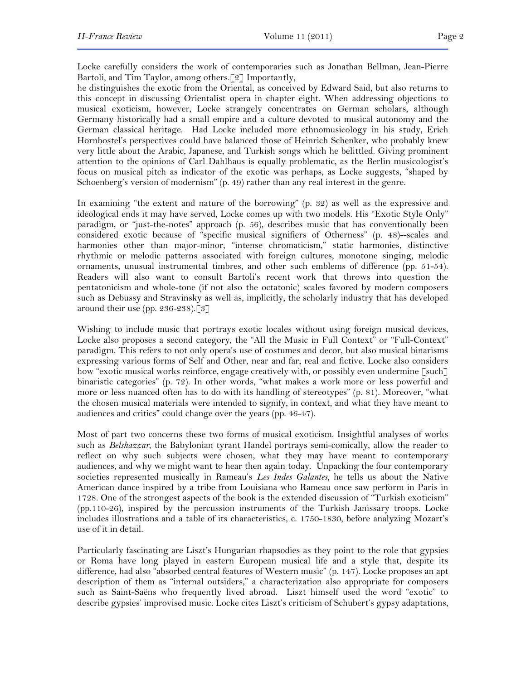Locke carefully considers the work of contemporaries such as Jonathan Bellman, Jean-Pierre Bartoli, and Tim Taylor, among others.[2] Importantly,

he distinguishes the exotic from the Oriental, as conceived by Edward Said, but also returns to this concept in discussing Orientalist opera in chapter eight. When addressing objections to musical exoticism, however, Locke strangely concentrates on German scholars, although Germany historically had a small empire and a culture devoted to musical autonomy and the German classical heritage. Had Locke included more ethnomusicology in his study, Erich Hornbostel's perspectives could have balanced those of Heinrich Schenker, who probably knew very little about the Arabic, Japanese, and Turkish songs which he belittled. Giving prominent attention to the opinions of Carl Dahlhaus is equally problematic, as the Berlin musicologist's focus on musical pitch as indicator of the exotic was perhaps, as Locke suggests, "shaped by Schoenberg's version of modernism" (p. 49) rather than any real interest in the genre.

In examining "the extent and nature of the borrowing" (p. 32) as well as the expressive and ideological ends it may have served, Locke comes up with two models. His "Exotic Style Only" paradigm, or "just-the-notes" approach (p. 56), describes music that has conventionally been considered exotic because of "specific musical signifiers of Otherness" (p. 48)--scales and harmonies other than major-minor, "intense chromaticism," static harmonies, distinctive rhythmic or melodic patterns associated with foreign cultures, monotone singing, melodic ornaments, unusual instrumental timbres, and other such emblems of difference (pp. 51-54). Readers will also want to consult Bartoli's recent work that throws into question the pentatonicism and whole-tone (if not also the octatonic) scales favored by modern composers such as Debussy and Stravinsky as well as, implicitly, the scholarly industry that has developed around their use (pp. 236-238).[3]

Wishing to include music that portrays exotic locales without using foreign musical devices, Locke also proposes a second category, the "All the Music in Full Context" or "Full-Context" paradigm. This refers to not only opera's use of costumes and decor, but also musical binarisms expressing various forms of Self and Other, near and far, real and fictive. Locke also considers how "exotic musical works reinforce, engage creatively with, or possibly even undermine [such] binaristic categories" (p. 72). In other words, "what makes a work more or less powerful and more or less nuanced often has to do with its handling of stereotypes" (p. 81). Moreover, "what the chosen musical materials were intended to signify, in context, and what they have meant to audiences and critics" could change over the years (pp. 46-47).

Most of part two concerns these two forms of musical exoticism. Insightful analyses of works such as *Belshazzar*, the Babylonian tyrant Handel portrays semi-comically, allow the reader to reflect on why such subjects were chosen, what they may have meant to contemporary audiences, and why we might want to hear then again today. Unpacking the four contemporary societies represented musically in Rameau's *Les Indes Galantes*, he tells us about the Native American dance inspired by a tribe from Louisiana who Rameau once saw perform in Paris in 1728. One of the strongest aspects of the book is the extended discussion of "Turkish exoticism" (pp.110-26), inspired by the percussion instruments of the Turkish Janissary troops. Locke includes illustrations and a table of its characteristics, c. 1750-1830, before analyzing Mozart's use of it in detail.

Particularly fascinating are Liszt's Hungarian rhapsodies as they point to the role that gypsies or Roma have long played in eastern European musical life and a style that, despite its difference, had also "absorbed central features of Western music" (p. 147). Locke proposes an apt description of them as "internal outsiders," a characterization also appropriate for composers such as Saint-Saëns who frequently lived abroad. Liszt himself used the word "exotic" to describe gypsies' improvised music. Locke cites Liszt's criticism of Schubert's gypsy adaptations,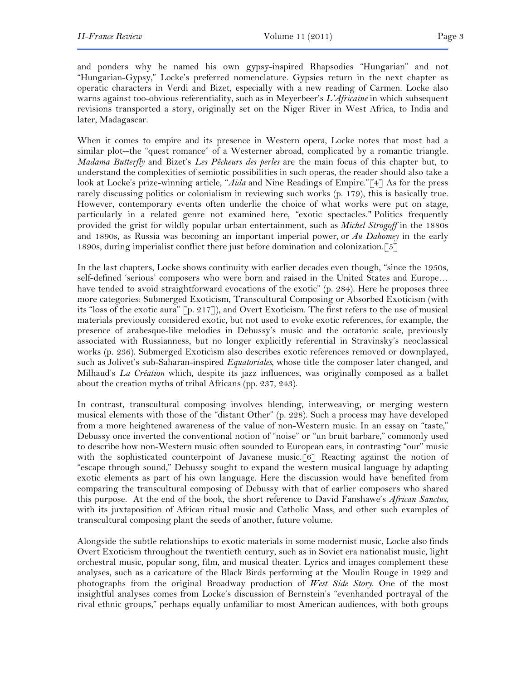and ponders why he named his own gypsy-inspired Rhapsodies "Hungarian" and not "Hungarian-Gypsy," Locke's preferred nomenclature. Gypsies return in the next chapter as operatic characters in Verdi and Bizet, especially with a new reading of Carmen. Locke also warns against too-obvious referentiality, such as in Meyerbeer's *L'Africaine* in which subsequent revisions transported a story, originally set on the Niger River in West Africa, to India and later, Madagascar.

When it comes to empire and its presence in Western opera, Locke notes that most had a similar plot--the "quest romance" of a Westerner abroad, complicated by a romantic triangle. *Madama Butterfly* and Bizet's *Les Pêcheurs des perles* are the main focus of this chapter but, to understand the complexities of semiotic possibilities in such operas, the reader should also take a look at Locke's prize-winning article, "*Aida* and Nine Readings of Empire."[4] As for the press rarely discussing politics or colonialism in reviewing such works (p. 179), this is basically true. However, contemporary events often underlie the choice of what works were put on stage, particularly in a related genre not examined here, "exotic spectacles." Politics frequently provided the grist for wildly popular urban entertainment, such as *Michel Strogoff* in the 1880s and 1890s, as Russia was becoming an important imperial power, or *Au Dahomey* in the early 1890s, during imperialist conflict there just before domination and colonization.[5]

In the last chapters, Locke shows continuity with earlier decades even though, "since the 1950s, self-defined 'serious' composers who were born and raised in the United States and Europe… have tended to avoid straightforward evocations of the exotic" (p. 284). Here he proposes three more categories: Submerged Exoticism, Transcultural Composing or Absorbed Exoticism (with its "loss of the exotic aura" [p. 217]), and Overt Exoticism. The first refers to the use of musical materials previously considered exotic, but not used to evoke exotic references, for example, the presence of arabesque-like melodies in Debussy's music and the octatonic scale, previously associated with Russianness, but no longer explicitly referential in Stravinsky's neoclassical works (p. 236). Submerged Exoticism also describes exotic references removed or downplayed, such as Jolivet's sub-Saharan-inspired *Equatoriales,* whose title the composer later changed, and Milhaud's *La Création* which, despite its jazz influences, was originally composed as a ballet about the creation myths of tribal Africans (pp. 237, 243).

In contrast, transcultural composing involves blending, interweaving, or merging western musical elements with those of the "distant Other" (p. 228). Such a process may have developed from a more heightened awareness of the value of non-Western music. In an essay on "taste," Debussy once inverted the conventional notion of "noise" or "un bruit barbare," commonly used to describe how non-Western music often sounded to European ears, in contrasting "our" music with the sophisticated counterpoint of Javanese music.<sup>[6]</sup> Reacting against the notion of "escape through sound," Debussy sought to expand the western musical language by adapting exotic elements as part of his own language. Here the discussion would have benefited from comparing the transcultural composing of Debussy with that of earlier composers who shared this purpose. At the end of the book, the short reference to David Fanshawe's *African Sanctus*, with its juxtaposition of African ritual music and Catholic Mass, and other such examples of transcultural composing plant the seeds of another, future volume.

Alongside the subtle relationships to exotic materials in some modernist music, Locke also finds Overt Exoticism throughout the twentieth century, such as in Soviet era nationalist music, light orchestral music, popular song, film, and musical theater. Lyrics and images complement these analyses, such as a caricature of the Black Birds performing at the Moulin Rouge in 1929 and photographs from the original Broadway production of *West Side Story*. One of the most insightful analyses comes from Locke's discussion of Bernstein's "evenhanded portrayal of the rival ethnic groups," perhaps equally unfamiliar to most American audiences, with both groups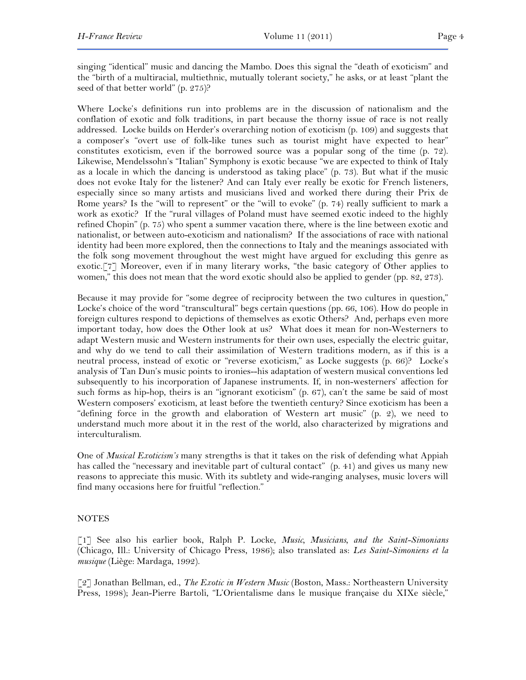singing "identical" music and dancing the Mambo. Does this signal the "death of exoticism" and the "birth of a multiracial, multiethnic, mutually tolerant society," he asks, or at least "plant the seed of that better world" (p. 275)?

Where Locke's definitions run into problems are in the discussion of nationalism and the conflation of exotic and folk traditions, in part because the thorny issue of race is not really addressed. Locke builds on Herder's overarching notion of exoticism (p. 109) and suggests that a composer's "overt use of folk-like tunes such as tourist might have expected to hear" constitutes exoticism, even if the borrowed source was a popular song of the time (p. 72). Likewise, Mendelssohn's "Italian" Symphony is exotic because "we are expected to think of Italy as a locale in which the dancing is understood as taking place" (p. 73). But what if the music does not evoke Italy for the listener? And can Italy ever really be exotic for French listeners, especially since so many artists and musicians lived and worked there during their Prix de Rome years? Is the "will to represent" or the "will to evoke" (p. 74) really sufficient to mark a work as exotic? If the "rural villages of Poland must have seemed exotic indeed to the highly refined Chopin" (p. 75) who spent a summer vacation there, where is the line between exotic and nationalist, or between auto-exoticism and nationalism? If the associations of race with national identity had been more explored, then the connections to Italy and the meanings associated with the folk song movement throughout the west might have argued for excluding this genre as exotic.[7] Moreover, even if in many literary works, "the basic category of Other applies to women," this does not mean that the word exotic should also be applied to gender (pp. 82, 273).

Because it may provide for "some degree of reciprocity between the two cultures in question," Locke's choice of the word "transcultural" begs certain questions (pp. 66, 106). How do people in foreign cultures respond to depictions of themselves as exotic Others? And, perhaps even more important today, how does the Other look at us? What does it mean for non-Westerners to adapt Western music and Western instruments for their own uses, especially the electric guitar, and why do we tend to call their assimilation of Western traditions modern, as if this is a neutral process, instead of exotic or "reverse exoticism," as Locke suggests (p. 66)? Locke's analysis of Tan Dun's music points to ironies--his adaptation of western musical conventions led subsequently to his incorporation of Japanese instruments. If, in non-westerners' affection for such forms as hip-hop, theirs is an "ignorant exoticism" (p. 67), can't the same be said of most Western composers' exoticism, at least before the twentieth century? Since exoticism has been a "defining force in the growth and elaboration of Western art music" (p. 2), we need to understand much more about it in the rest of the world, also characterized by migrations and interculturalism.

One of *Musical Exoticism's* many strengths is that it takes on the risk of defending what Appiah has called the "necessary and inevitable part of cultural contact" (p. 41) and gives us many new reasons to appreciate this music. With its subtlety and wide-ranging analyses, music lovers will find many occasions here for fruitful "reflection."

## NOTES

[1] See also his earlier book, Ralph P. Locke, *Music, Musicians, and the Saint-Simonians* (Chicago, Ill.: University of Chicago Press, 1986); also translated as: *Les Saint-Simoniens et la musique* (Liège: Mardaga, 1992).

[2] Jonathan Bellman, ed., *The Exotic in Western Music* (Boston, Mass.: Northeastern University Press, 1998); Jean-Pierre Bartoli, "L'Orientalisme dans le musique française du XIXe siècle,"